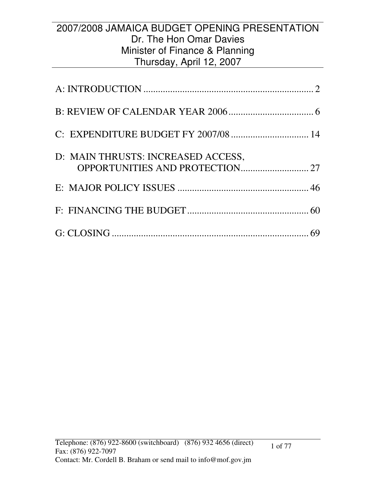| C: EXPENDITURE BUDGET FY 2007/08  14 |  |
|--------------------------------------|--|
| D: MAIN THRUSTS: INCREASED ACCESS,   |  |
|                                      |  |
|                                      |  |
|                                      |  |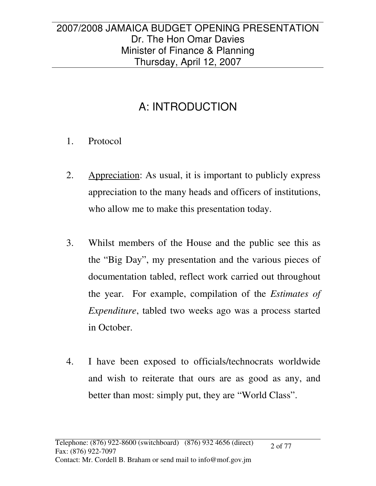# A: INTRODUCTION

- 1. Protocol
- 2. Appreciation: As usual, it is important to publicly express appreciation to the many heads and officers of institutions, who allow me to make this presentation today.
- 3. Whilst members of the House and the public see this as the "Big Day", my presentation and the various pieces of documentation tabled, reflect work carried out throughout the year. For example, compilation of the *Estimates of Expenditure*, tabled two weeks ago was a process started in October.
- 4. I have been exposed to officials/technocrats worldwide and wish to reiterate that ours are as good as any, and better than most: simply put, they are "World Class".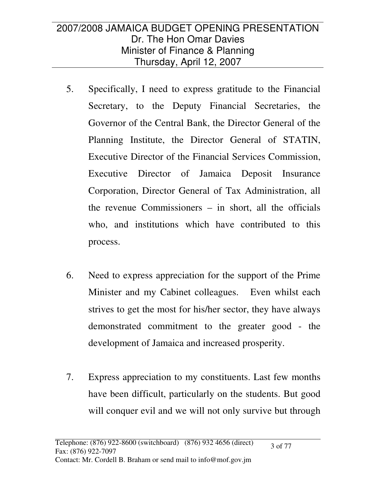- 5. Specifically, I need to express gratitude to the Financial Secretary, to the Deputy Financial Secretaries, the Governor of the Central Bank, the Director General of the Planning Institute, the Director General of STATIN, Executive Director of the Financial Services Commission, Executive Director of Jamaica Deposit Insurance Corporation, Director General of Tax Administration, all the revenue Commissioners – in short, all the officials who, and institutions which have contributed to this process.
- 6. Need to express appreciation for the support of the Prime Minister and my Cabinet colleagues. Even whilst each strives to get the most for his/her sector, they have always demonstrated commitment to the greater good - the development of Jamaica and increased prosperity.
- 7. Express appreciation to my constituents. Last few months have been difficult, particularly on the students. But good will conquer evil and we will not only survive but through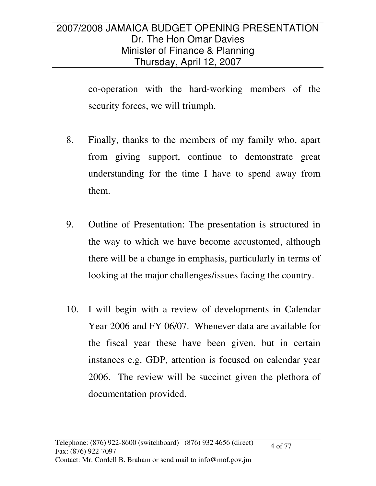co-operation with the hard-working members of the security forces, we will triumph.

- 8. Finally, thanks to the members of my family who, apart from giving support, continue to demonstrate great understanding for the time I have to spend away from them.
- 9. Outline of Presentation: The presentation is structured in the way to which we have become accustomed, although there will be a change in emphasis, particularly in terms of looking at the major challenges/issues facing the country.
- 10. I will begin with a review of developments in Calendar Year 2006 and FY 06/07. Whenever data are available for the fiscal year these have been given, but in certain instances e.g. GDP, attention is focused on calendar year 2006. The review will be succinct given the plethora of documentation provided.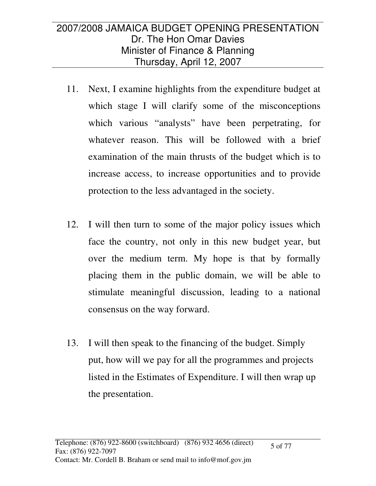- 11. Next, I examine highlights from the expenditure budget at which stage I will clarify some of the misconceptions which various "analysts" have been perpetrating, for whatever reason. This will be followed with a brief examination of the main thrusts of the budget which is to increase access, to increase opportunities and to provide protection to the less advantaged in the society.
- 12. I will then turn to some of the major policy issues which face the country, not only in this new budget year, but over the medium term. My hope is that by formally placing them in the public domain, we will be able to stimulate meaningful discussion, leading to a national consensus on the way forward.
- 13. I will then speak to the financing of the budget. Simply put, how will we pay for all the programmes and projects listed in the Estimates of Expenditure. I will then wrap up the presentation.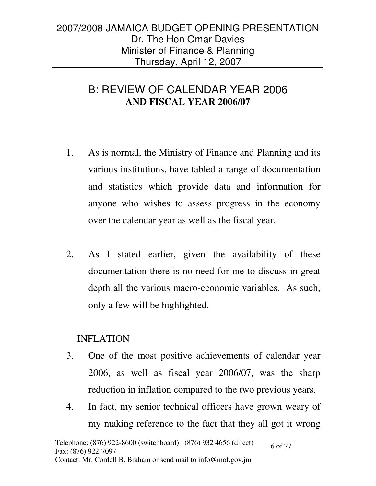## B: REVIEW OF CALENDAR YEAR 2006 **AND FISCAL YEAR 2006/07**

- 1. As is normal, the Ministry of Finance and Planning and its various institutions, have tabled a range of documentation and statistics which provide data and information for anyone who wishes to assess progress in the economy over the calendar year as well as the fiscal year.
- 2. As I stated earlier, given the availability of these documentation there is no need for me to discuss in great depth all the various macro-economic variables. As such, only a few will be highlighted.

#### INFLATION

- 3. One of the most positive achievements of calendar year 2006, as well as fiscal year 2006/07, was the sharp reduction in inflation compared to the two previous years.
- 4. In fact, my senior technical officers have grown weary of my making reference to the fact that they all got it wrong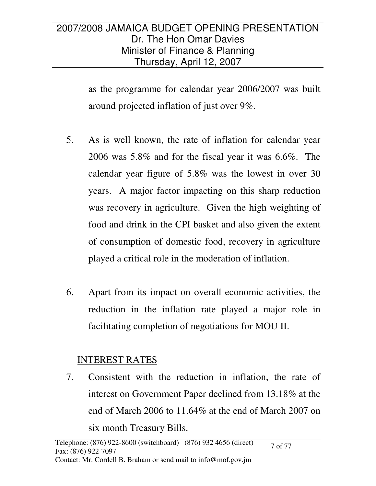as the programme for calendar year 2006/2007 was built around projected inflation of just over 9%.

- 5. As is well known, the rate of inflation for calendar year 2006 was 5.8% and for the fiscal year it was 6.6%. The calendar year figure of 5.8% was the lowest in over 30 years. A major factor impacting on this sharp reduction was recovery in agriculture. Given the high weighting of food and drink in the CPI basket and also given the extent of consumption of domestic food, recovery in agriculture played a critical role in the moderation of inflation.
- 6. Apart from its impact on overall economic activities, the reduction in the inflation rate played a major role in facilitating completion of negotiations for MOU II.

## INTEREST RATES

7. Consistent with the reduction in inflation, the rate of interest on Government Paper declined from 13.18% at the end of March 2006 to 11.64% at the end of March 2007 on six month Treasury Bills.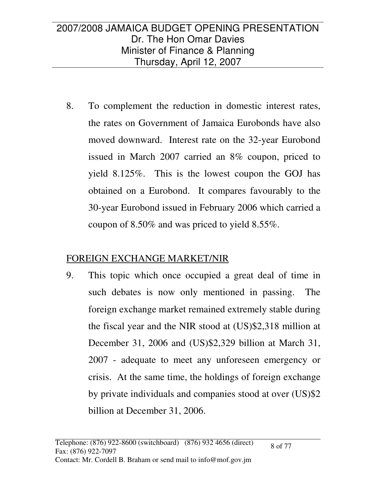8. To complement the reduction in domestic interest rates, the rates on Government of Jamaica Eurobonds have also moved downward. Interest rate on the 32-year Eurobond issued in March 2007 carried an 8% coupon, priced to yield 8.125%. This is the lowest coupon the GOJ has obtained on a Eurobond. It compares favourably to the 30-year Eurobond issued in February 2006 which carried a coupon of 8.50% and was priced to yield 8.55%.

## FOREIGN EXCHANGE MARKET/NIR

9. This topic which once occupied a great deal of time in such debates is now only mentioned in passing. The foreign exchange market remained extremely stable during the fiscal year and the NIR stood at (US)\$2,318 million at December 31, 2006 and (US)\$2,329 billion at March 31, 2007 - adequate to meet any unforeseen emergency or crisis. At the same time, the holdings of foreign exchange by private individuals and companies stood at over (US)\$2 billion at December 31, 2006.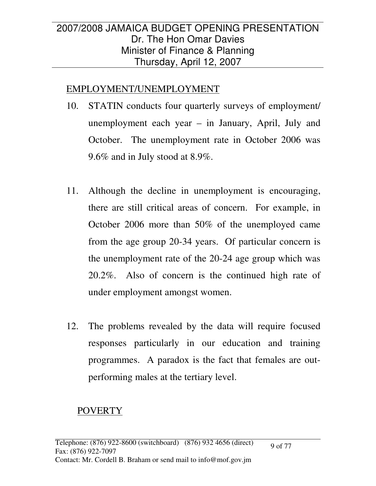#### EMPLOYMENT/UNEMPLOYMENT

- 10. STATIN conducts four quarterly surveys of employment/ unemployment each year – in January, April, July and October. The unemployment rate in October 2006 was 9.6% and in July stood at 8.9%.
- 11. Although the decline in unemployment is encouraging, there are still critical areas of concern. For example, in October 2006 more than 50% of the unemployed came from the age group 20-34 years. Of particular concern is the unemployment rate of the 20-24 age group which was 20.2%. Also of concern is the continued high rate of under employment amongst women.
- 12. The problems revealed by the data will require focused responses particularly in our education and training programmes. A paradox is the fact that females are outperforming males at the tertiary level.

## POVERTY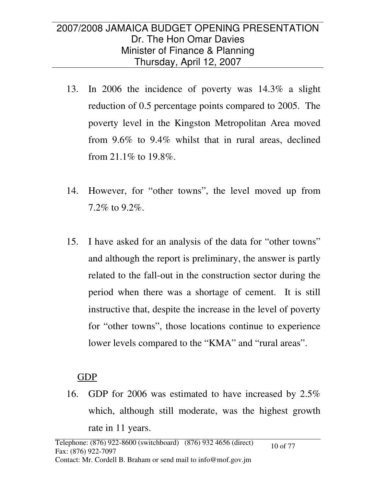- 13. In 2006 the incidence of poverty was 14.3% a slight reduction of 0.5 percentage points compared to 2005. The poverty level in the Kingston Metropolitan Area moved from 9.6% to 9.4% whilst that in rural areas, declined from 21.1% to 19.8%.
- 14. However, for "other towns", the level moved up from 7.2% to 9.2%.
- 15. I have asked for an analysis of the data for "other towns" and although the report is preliminary, the answer is partly related to the fall-out in the construction sector during the period when there was a shortage of cement. It is still instructive that, despite the increase in the level of poverty for "other towns", those locations continue to experience lower levels compared to the "KMA" and "rural areas".

#### GDP

16. GDP for 2006 was estimated to have increased by 2.5% which, although still moderate, was the highest growth rate in 11 years.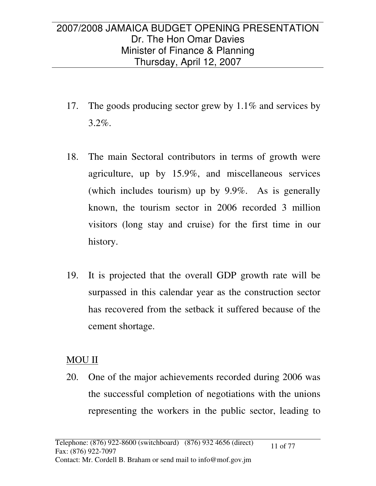- 17. The goods producing sector grew by 1.1% and services by 3.2%.
- 18. The main Sectoral contributors in terms of growth were agriculture, up by 15.9%, and miscellaneous services (which includes tourism) up by 9.9%. As is generally known, the tourism sector in 2006 recorded 3 million visitors (long stay and cruise) for the first time in our history.
- 19. It is projected that the overall GDP growth rate will be surpassed in this calendar year as the construction sector has recovered from the setback it suffered because of the cement shortage.

#### MOU II

20. One of the major achievements recorded during 2006 was the successful completion of negotiations with the unions representing the workers in the public sector, leading to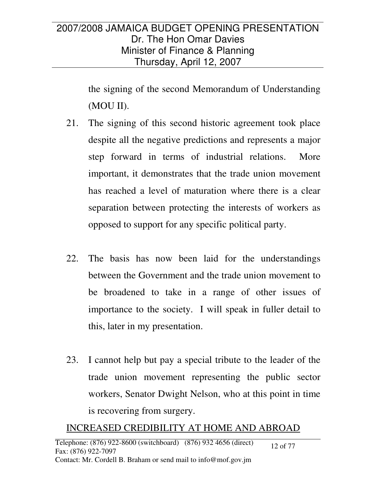the signing of the second Memorandum of Understanding (MOU II).

- 21. The signing of this second historic agreement took place despite all the negative predictions and represents a major step forward in terms of industrial relations. More important, it demonstrates that the trade union movement has reached a level of maturation where there is a clear separation between protecting the interests of workers as opposed to support for any specific political party.
- 22. The basis has now been laid for the understandings between the Government and the trade union movement to be broadened to take in a range of other issues of importance to the society. I will speak in fuller detail to this, later in my presentation.
- 23. I cannot help but pay a special tribute to the leader of the trade union movement representing the public sector workers, Senator Dwight Nelson, who at this point in time is recovering from surgery.

#### INCREASED CREDIBILITY AT HOME AND ABROAD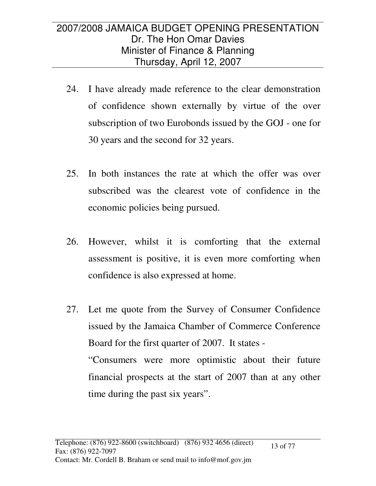- 24. I have already made reference to the clear demonstration of confidence shown externally by virtue of the over subscription of two Eurobonds issued by the GOJ - one for 30 years and the second for 32 years.
- 25. In both instances the rate at which the offer was over subscribed was the clearest vote of confidence in the economic policies being pursued.
- 26. However, whilst it is comforting that the external assessment is positive, it is even more comforting when confidence is also expressed at home.
- 27. Let me quote from the Survey of Consumer Confidence issued by the Jamaica Chamber of Commerce Conference Board for the first quarter of 2007. It states - "Consumers were more optimistic about their future financial prospects at the start of 2007 than at any other time during the past six years".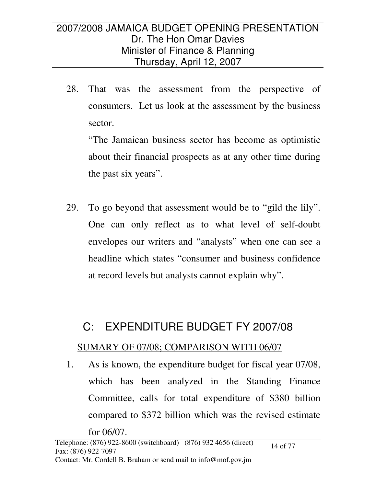28. That was the assessment from the perspective of consumers. Let us look at the assessment by the business sector.

"The Jamaican business sector has become as optimistic about their financial prospects as at any other time during the past six years".

29. To go beyond that assessment would be to "gild the lily". One can only reflect as to what level of self-doubt envelopes our writers and "analysts" when one can see a headline which states "consumer and business confidence at record levels but analysts cannot explain why".

## C: EXPENDITURE BUDGET FY 2007/08

#### SUMARY OF 07/08; COMPARISON WITH 06/07

1. As is known, the expenditure budget for fiscal year 07/08, which has been analyzed in the Standing Finance Committee, calls for total expenditure of \$380 billion compared to \$372 billion which was the revised estimate for 06/07.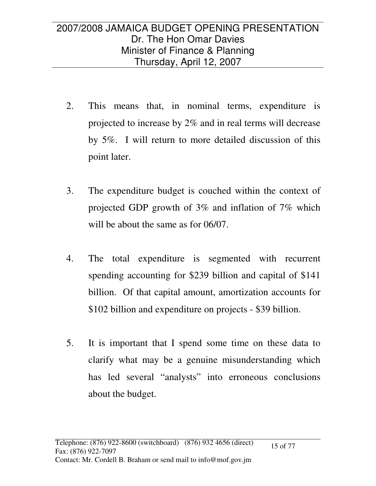- 2. This means that, in nominal terms, expenditure is projected to increase by 2% and in real terms will decrease by 5%. I will return to more detailed discussion of this point later.
- 3. The expenditure budget is couched within the context of projected GDP growth of 3% and inflation of 7% which will be about the same as for 06/07.
- 4. The total expenditure is segmented with recurrent spending accounting for \$239 billion and capital of \$141 billion. Of that capital amount, amortization accounts for \$102 billion and expenditure on projects - \$39 billion.
- 5. It is important that I spend some time on these data to clarify what may be a genuine misunderstanding which has led several "analysts" into erroneous conclusions about the budget.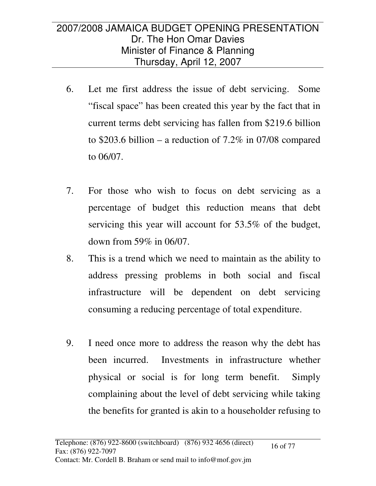- 6. Let me first address the issue of debt servicing. Some "fiscal space" has been created this year by the fact that in current terms debt servicing has fallen from \$219.6 billion to \$203.6 billion – a reduction of 7.2% in 07/08 compared to 06/07.
- 7. For those who wish to focus on debt servicing as a percentage of budget this reduction means that debt servicing this year will account for 53.5% of the budget, down from 59% in 06/07.
- 8. This is a trend which we need to maintain as the ability to address pressing problems in both social and fiscal infrastructure will be dependent on debt servicing consuming a reducing percentage of total expenditure.
- 9. I need once more to address the reason why the debt has been incurred. Investments in infrastructure whether physical or social is for long term benefit. Simply complaining about the level of debt servicing while taking the benefits for granted is akin to a householder refusing to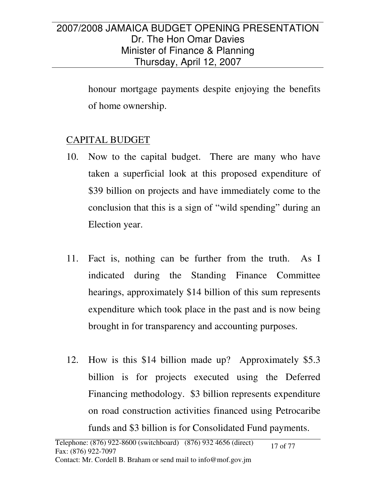honour mortgage payments despite enjoying the benefits of home ownership.

#### CAPITAL BUDGET

- 10. Now to the capital budget. There are many who have taken a superficial look at this proposed expenditure of \$39 billion on projects and have immediately come to the conclusion that this is a sign of "wild spending" during an Election year.
- 11. Fact is, nothing can be further from the truth. As I indicated during the Standing Finance Committee hearings, approximately \$14 billion of this sum represents expenditure which took place in the past and is now being brought in for transparency and accounting purposes.
- 12. How is this \$14 billion made up? Approximately \$5.3 billion is for projects executed using the Deferred Financing methodology. \$3 billion represents expenditure on road construction activities financed using Petrocaribe funds and \$3 billion is for Consolidated Fund payments.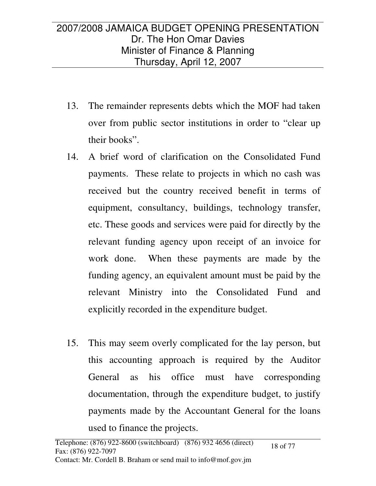- 13. The remainder represents debts which the MOF had taken over from public sector institutions in order to "clear up their books".
- 14. A brief word of clarification on the Consolidated Fund payments. These relate to projects in which no cash was received but the country received benefit in terms of equipment, consultancy, buildings, technology transfer, etc. These goods and services were paid for directly by the relevant funding agency upon receipt of an invoice for work done. When these payments are made by the funding agency, an equivalent amount must be paid by the relevant Ministry into the Consolidated Fund and explicitly recorded in the expenditure budget.
- 15. This may seem overly complicated for the lay person, but this accounting approach is required by the Auditor General as his office must have corresponding documentation, through the expenditure budget, to justify payments made by the Accountant General for the loans used to finance the projects.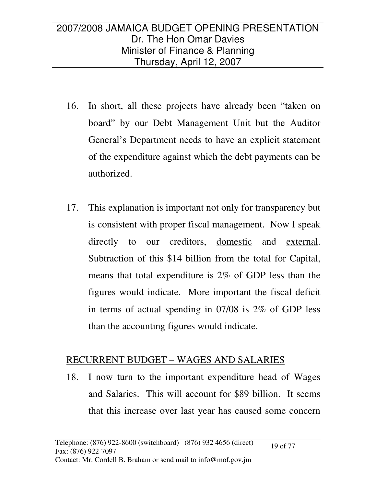- 16. In short, all these projects have already been "taken on board" by our Debt Management Unit but the Auditor General's Department needs to have an explicit statement of the expenditure against which the debt payments can be authorized.
- 17. This explanation is important not only for transparency but is consistent with proper fiscal management. Now I speak directly to our creditors, domestic and external. Subtraction of this \$14 billion from the total for Capital, means that total expenditure is 2% of GDP less than the figures would indicate. More important the fiscal deficit in terms of actual spending in 07/08 is 2% of GDP less than the accounting figures would indicate.

#### RECURRENT BUDGET – WAGES AND SALARIES

18. I now turn to the important expenditure head of Wages and Salaries. This will account for \$89 billion. It seems that this increase over last year has caused some concern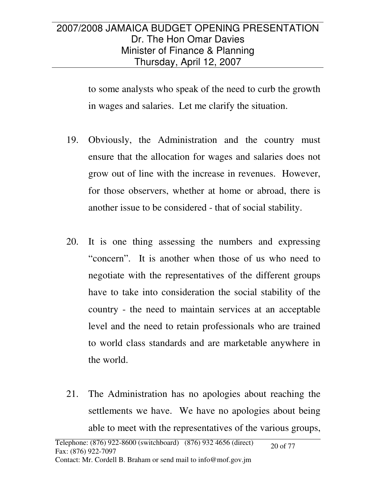to some analysts who speak of the need to curb the growth in wages and salaries. Let me clarify the situation.

- 19. Obviously, the Administration and the country must ensure that the allocation for wages and salaries does not grow out of line with the increase in revenues. However, for those observers, whether at home or abroad, there is another issue to be considered - that of social stability.
- 20. It is one thing assessing the numbers and expressing "concern". It is another when those of us who need to negotiate with the representatives of the different groups have to take into consideration the social stability of the country - the need to maintain services at an acceptable level and the need to retain professionals who are trained to world class standards and are marketable anywhere in the world.
- 21. The Administration has no apologies about reaching the settlements we have. We have no apologies about being able to meet with the representatives of the various groups,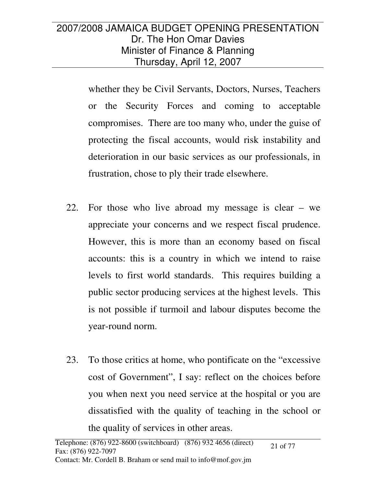whether they be Civil Servants, Doctors, Nurses, Teachers or the Security Forces and coming to acceptable compromises. There are too many who, under the guise of protecting the fiscal accounts, would risk instability and deterioration in our basic services as our professionals, in frustration, chose to ply their trade elsewhere.

- 22. For those who live abroad my message is clear we appreciate your concerns and we respect fiscal prudence. However, this is more than an economy based on fiscal accounts: this is a country in which we intend to raise levels to first world standards. This requires building a public sector producing services at the highest levels. This is not possible if turmoil and labour disputes become the year-round norm.
- 23. To those critics at home, who pontificate on the "excessive cost of Government", I say: reflect on the choices before you when next you need service at the hospital or you are dissatisfied with the quality of teaching in the school or the quality of services in other areas.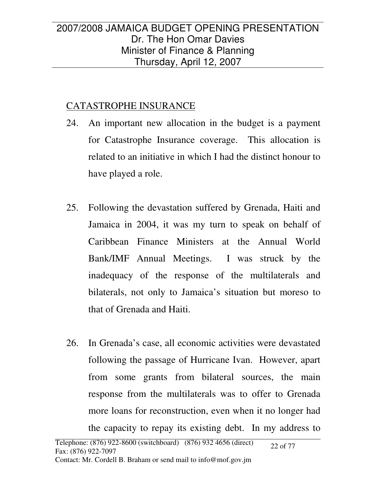## CATASTROPHE INSURANCE

- 24. An important new allocation in the budget is a payment for Catastrophe Insurance coverage. This allocation is related to an initiative in which I had the distinct honour to have played a role.
- 25. Following the devastation suffered by Grenada, Haiti and Jamaica in 2004, it was my turn to speak on behalf of Caribbean Finance Ministers at the Annual World Bank/IMF Annual Meetings. I was struck by the inadequacy of the response of the multilaterals and bilaterals, not only to Jamaica's situation but moreso to that of Grenada and Haiti.
- 26. In Grenada's case, all economic activities were devastated following the passage of Hurricane Ivan. However, apart from some grants from bilateral sources, the main response from the multilaterals was to offer to Grenada more loans for reconstruction, even when it no longer had the capacity to repay its existing debt. In my address to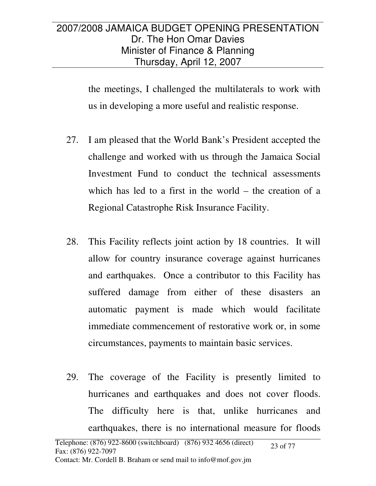the meetings, I challenged the multilaterals to work with us in developing a more useful and realistic response.

- 27. I am pleased that the World Bank's President accepted the challenge and worked with us through the Jamaica Social Investment Fund to conduct the technical assessments which has led to a first in the world – the creation of a Regional Catastrophe Risk Insurance Facility.
- 28. This Facility reflects joint action by 18 countries. It will allow for country insurance coverage against hurricanes and earthquakes. Once a contributor to this Facility has suffered damage from either of these disasters an automatic payment is made which would facilitate immediate commencement of restorative work or, in some circumstances, payments to maintain basic services.
- 29. The coverage of the Facility is presently limited to hurricanes and earthquakes and does not cover floods. The difficulty here is that, unlike hurricanes and earthquakes, there is no international measure for floods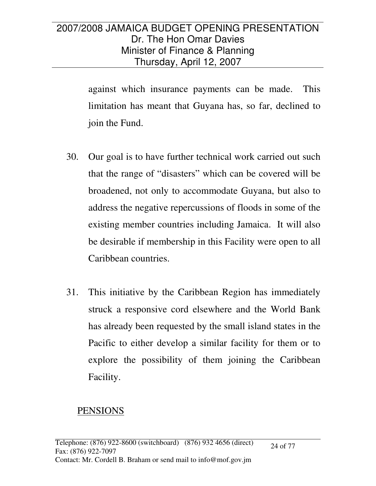against which insurance payments can be made. This limitation has meant that Guyana has, so far, declined to join the Fund.

- 30. Our goal is to have further technical work carried out such that the range of "disasters" which can be covered will be broadened, not only to accommodate Guyana, but also to address the negative repercussions of floods in some of the existing member countries including Jamaica. It will also be desirable if membership in this Facility were open to all Caribbean countries.
- 31. This initiative by the Caribbean Region has immediately struck a responsive cord elsewhere and the World Bank has already been requested by the small island states in the Pacific to either develop a similar facility for them or to explore the possibility of them joining the Caribbean Facility.

#### PENSIONS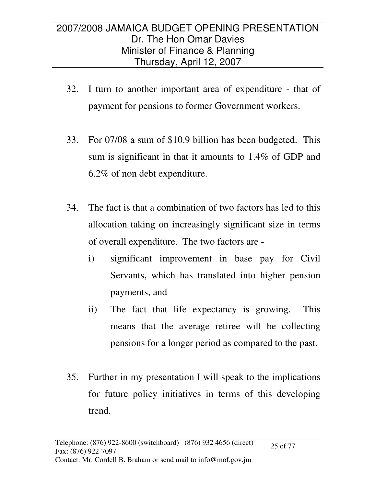- 32. I turn to another important area of expenditure that of payment for pensions to former Government workers.
- 33. For 07/08 a sum of \$10.9 billion has been budgeted. This sum is significant in that it amounts to 1.4% of GDP and 6.2% of non debt expenditure.
- 34. The fact is that a combination of two factors has led to this allocation taking on increasingly significant size in terms of overall expenditure. The two factors are
	- i) significant improvement in base pay for Civil Servants, which has translated into higher pension payments, and
	- ii) The fact that life expectancy is growing. This means that the average retiree will be collecting pensions for a longer period as compared to the past.
- 35. Further in my presentation I will speak to the implications for future policy initiatives in terms of this developing trend.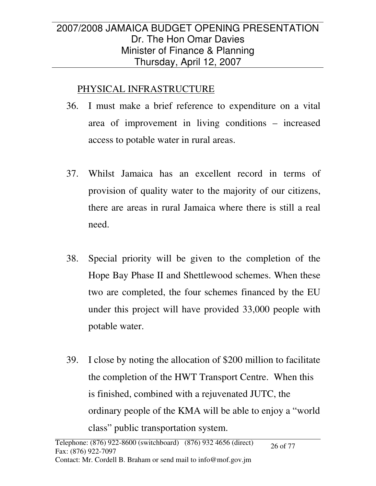#### PHYSICAL INFRASTRUCTURE

- 36. I must make a brief reference to expenditure on a vital area of improvement in living conditions – increased access to potable water in rural areas.
- 37. Whilst Jamaica has an excellent record in terms of provision of quality water to the majority of our citizens, there are areas in rural Jamaica where there is still a real need.
- 38. Special priority will be given to the completion of the Hope Bay Phase II and Shettlewood schemes. When these two are completed, the four schemes financed by the EU under this project will have provided 33,000 people with potable water.
- 39. I close by noting the allocation of \$200 million to facilitate the completion of the HWT Transport Centre. When this is finished, combined with a rejuvenated JUTC, the ordinary people of the KMA will be able to enjoy a "world class" public transportation system.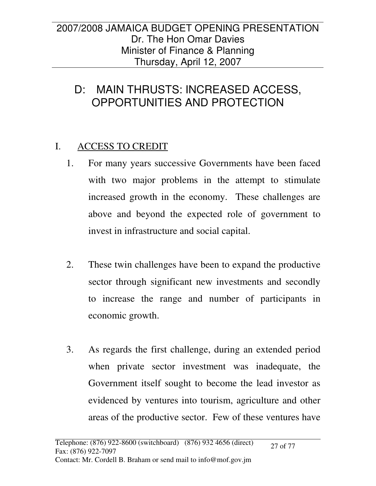## D: MAIN THRUSTS: INCREASED ACCESS, OPPORTUNITIES AND PROTECTION

## I. ACCESS TO CREDIT

- 1. For many years successive Governments have been faced with two major problems in the attempt to stimulate increased growth in the economy. These challenges are above and beyond the expected role of government to invest in infrastructure and social capital.
- 2. These twin challenges have been to expand the productive sector through significant new investments and secondly to increase the range and number of participants in economic growth.
- 3. As regards the first challenge, during an extended period when private sector investment was inadequate, the Government itself sought to become the lead investor as evidenced by ventures into tourism, agriculture and other areas of the productive sector. Few of these ventures have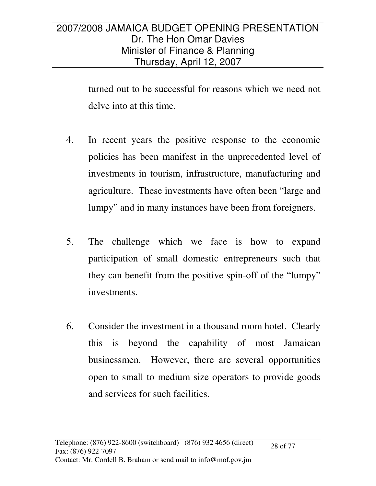turned out to be successful for reasons which we need not delve into at this time.

- 4. In recent years the positive response to the economic policies has been manifest in the unprecedented level of investments in tourism, infrastructure, manufacturing and agriculture. These investments have often been "large and lumpy" and in many instances have been from foreigners.
- 5. The challenge which we face is how to expand participation of small domestic entrepreneurs such that they can benefit from the positive spin-off of the "lumpy" investments.
- 6. Consider the investment in a thousand room hotel. Clearly this is beyond the capability of most Jamaican businessmen. However, there are several opportunities open to small to medium size operators to provide goods and services for such facilities.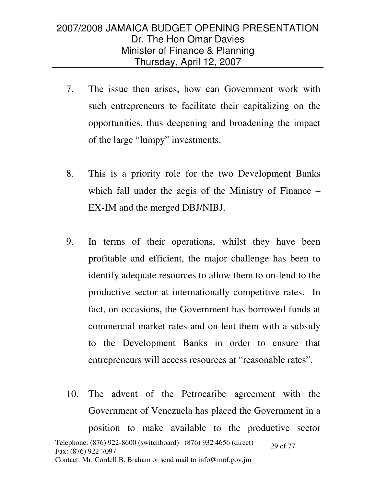- 7. The issue then arises, how can Government work with such entrepreneurs to facilitate their capitalizing on the opportunities, thus deepening and broadening the impact of the large "lumpy" investments.
- 8. This is a priority role for the two Development Banks which fall under the aegis of the Ministry of Finance – EX-IM and the merged DBJ/NIBJ.
- 9. In terms of their operations, whilst they have been profitable and efficient, the major challenge has been to identify adequate resources to allow them to on-lend to the productive sector at internationally competitive rates. In fact, on occasions, the Government has borrowed funds at commercial market rates and on-lent them with a subsidy to the Development Banks in order to ensure that entrepreneurs will access resources at "reasonable rates".
- 10. The advent of the Petrocaribe agreement with the Government of Venezuela has placed the Government in a position to make available to the productive sector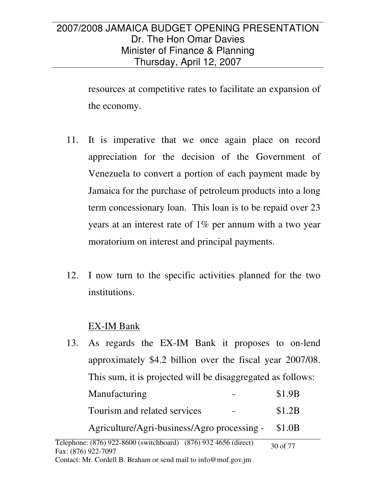resources at competitive rates to facilitate an expansion of the economy.

- 11. It is imperative that we once again place on record appreciation for the decision of the Government of Venezuela to convert a portion of each payment made by Jamaica for the purchase of petroleum products into a long term concessionary loan. This loan is to be repaid over 23 years at an interest rate of 1% per annum with a two year moratorium on interest and principal payments.
- 12. I now turn to the specific activities planned for the two institutions.

#### EX-IM Bank

| 13. As regards the EX-IM Bank it proposes to on-lend                                   |          |
|----------------------------------------------------------------------------------------|----------|
| approximately \$4.2 billion over the fiscal year 2007/08.                              |          |
| This sum, it is projected will be disaggregated as follows:                            |          |
| Manufacturing                                                                          | \$1.9B   |
| Tourism and related services                                                           | \$1.2B   |
| Agriculture/Agri-business/Agro processing -                                            | \$1.0B   |
| Telephone: (876) 922-8600 (switchboard) (876) 932 4656 (direct)<br>Fax: (876) 922-7097 | 30 of 77 |

Contact: Mr. Cordell B. Braham or send mail to info@mof.gov.jm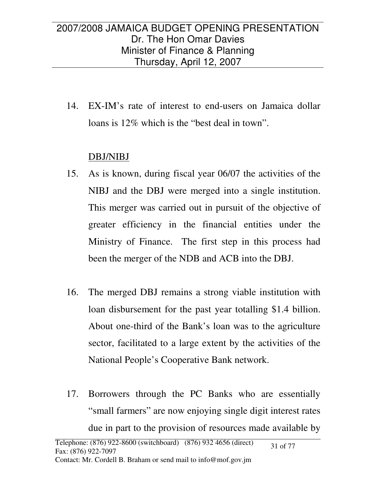14. EX-IM's rate of interest to end-users on Jamaica dollar loans is 12% which is the "best deal in town".

#### DBJ/NIBJ

- 15. As is known, during fiscal year 06/07 the activities of the NIBJ and the DBJ were merged into a single institution. This merger was carried out in pursuit of the objective of greater efficiency in the financial entities under the Ministry of Finance. The first step in this process had been the merger of the NDB and ACB into the DBJ.
- 16. The merged DBJ remains a strong viable institution with loan disbursement for the past year totalling \$1.4 billion. About one-third of the Bank's loan was to the agriculture sector, facilitated to a large extent by the activities of the National People's Cooperative Bank network.
- 17. Borrowers through the PC Banks who are essentially "small farmers" are now enjoying single digit interest rates due in part to the provision of resources made available by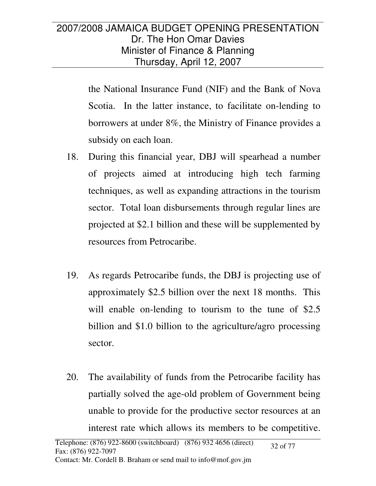the National Insurance Fund (NIF) and the Bank of Nova Scotia. In the latter instance, to facilitate on-lending to borrowers at under 8%, the Ministry of Finance provides a subsidy on each loan.

- 18. During this financial year, DBJ will spearhead a number of projects aimed at introducing high tech farming techniques, as well as expanding attractions in the tourism sector. Total loan disbursements through regular lines are projected at \$2.1 billion and these will be supplemented by resources from Petrocaribe.
- 19. As regards Petrocaribe funds, the DBJ is projecting use of approximately \$2.5 billion over the next 18 months. This will enable on-lending to tourism to the tune of \$2.5 billion and \$1.0 billion to the agriculture/agro processing sector.
- 20. The availability of funds from the Petrocaribe facility has partially solved the age-old problem of Government being unable to provide for the productive sector resources at an interest rate which allows its members to be competitive.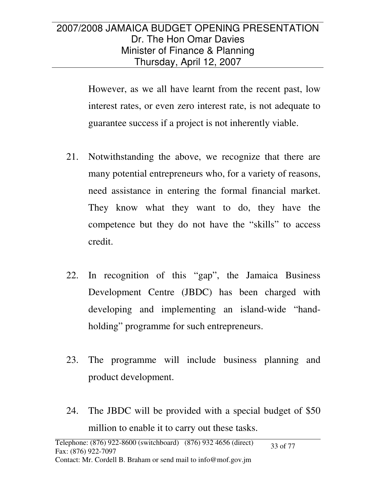However, as we all have learnt from the recent past, low interest rates, or even zero interest rate, is not adequate to guarantee success if a project is not inherently viable.

- 21. Notwithstanding the above, we recognize that there are many potential entrepreneurs who, for a variety of reasons, need assistance in entering the formal financial market. They know what they want to do, they have the competence but they do not have the "skills" to access credit.
- 22. In recognition of this "gap", the Jamaica Business Development Centre (JBDC) has been charged with developing and implementing an island-wide "handholding" programme for such entrepreneurs.
- 23. The programme will include business planning and product development.
- 24. The JBDC will be provided with a special budget of \$50 million to enable it to carry out these tasks.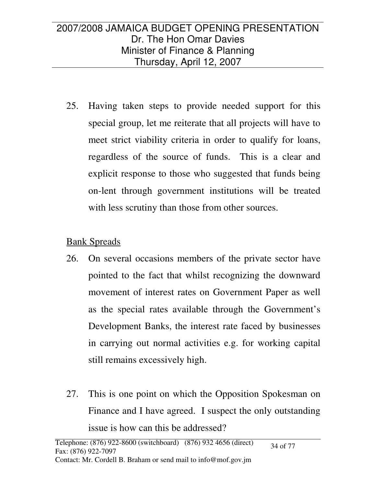25. Having taken steps to provide needed support for this special group, let me reiterate that all projects will have to meet strict viability criteria in order to qualify for loans, regardless of the source of funds. This is a clear and explicit response to those who suggested that funds being on-lent through government institutions will be treated with less scrutiny than those from other sources.

## Bank Spreads

- 26. On several occasions members of the private sector have pointed to the fact that whilst recognizing the downward movement of interest rates on Government Paper as well as the special rates available through the Government's Development Banks, the interest rate faced by businesses in carrying out normal activities e.g. for working capital still remains excessively high.
- 27. This is one point on which the Opposition Spokesman on Finance and I have agreed. I suspect the only outstanding issue is how can this be addressed?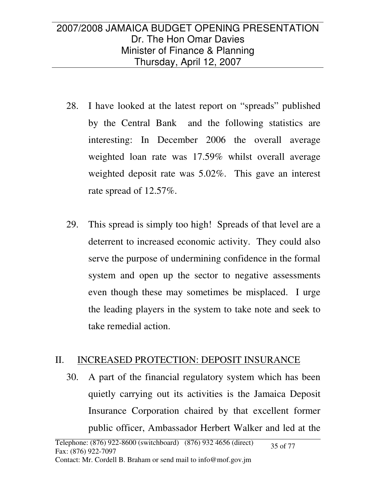- 28. I have looked at the latest report on "spreads" published by the Central Bank and the following statistics are interesting: In December 2006 the overall average weighted loan rate was 17.59% whilst overall average weighted deposit rate was 5.02%. This gave an interest rate spread of 12.57%.
- 29. This spread is simply too high! Spreads of that level are a deterrent to increased economic activity. They could also serve the purpose of undermining confidence in the formal system and open up the sector to negative assessments even though these may sometimes be misplaced. I urge the leading players in the system to take note and seek to take remedial action.

#### II. INCREASED PROTECTION: DEPOSIT INSURANCE

30. A part of the financial regulatory system which has been quietly carrying out its activities is the Jamaica Deposit Insurance Corporation chaired by that excellent former public officer, Ambassador Herbert Walker and led at the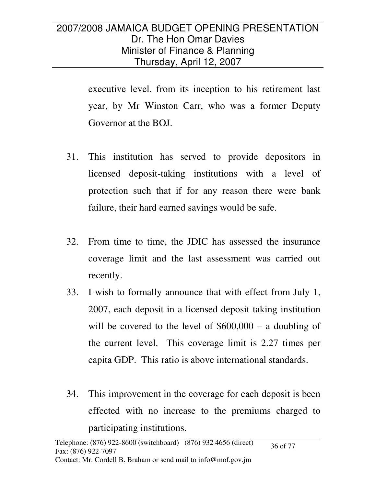executive level, from its inception to his retirement last year, by Mr Winston Carr, who was a former Deputy Governor at the BOJ.

- 31. This institution has served to provide depositors in licensed deposit-taking institutions with a level of protection such that if for any reason there were bank failure, their hard earned savings would be safe.
- 32. From time to time, the JDIC has assessed the insurance coverage limit and the last assessment was carried out recently.
- 33. I wish to formally announce that with effect from July 1, 2007, each deposit in a licensed deposit taking institution will be covered to the level of  $$600,000 - a$  doubling of the current level. This coverage limit is 2.27 times per capita GDP. This ratio is above international standards.
- 34. This improvement in the coverage for each deposit is been effected with no increase to the premiums charged to participating institutions.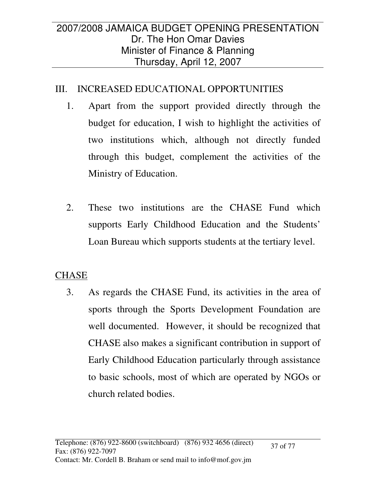## III. INCREASED EDUCATIONAL OPPORTUNITIES

- 1. Apart from the support provided directly through the budget for education, I wish to highlight the activities of two institutions which, although not directly funded through this budget, complement the activities of the Ministry of Education.
- 2. These two institutions are the CHASE Fund which supports Early Childhood Education and the Students' Loan Bureau which supports students at the tertiary level.

## **CHASE**

3. As regards the CHASE Fund, its activities in the area of sports through the Sports Development Foundation are well documented. However, it should be recognized that CHASE also makes a significant contribution in support of Early Childhood Education particularly through assistance to basic schools, most of which are operated by NGOs or church related bodies.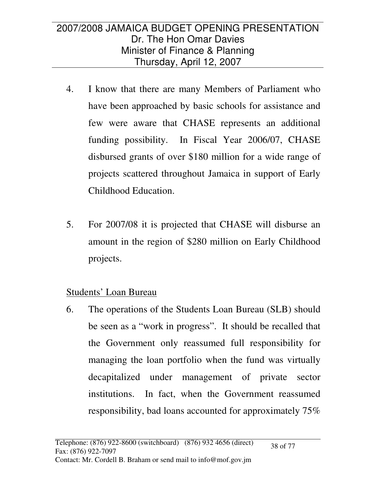- 4. I know that there are many Members of Parliament who have been approached by basic schools for assistance and few were aware that CHASE represents an additional funding possibility. In Fiscal Year 2006/07, CHASE disbursed grants of over \$180 million for a wide range of projects scattered throughout Jamaica in support of Early Childhood Education.
- 5. For 2007/08 it is projected that CHASE will disburse an amount in the region of \$280 million on Early Childhood projects.

## Students' Loan Bureau

6. The operations of the Students Loan Bureau (SLB) should be seen as a "work in progress". It should be recalled that the Government only reassumed full responsibility for managing the loan portfolio when the fund was virtually decapitalized under management of private sector institutions. In fact, when the Government reassumed responsibility, bad loans accounted for approximately 75%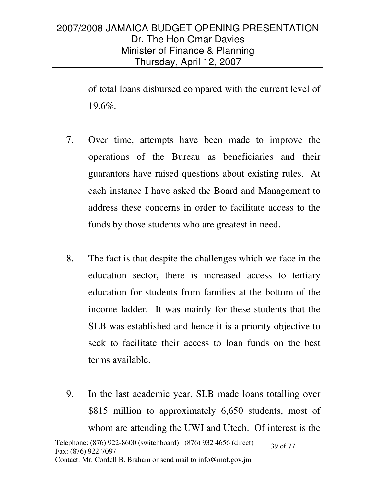of total loans disbursed compared with the current level of  $19.6\%$ .

- 7. Over time, attempts have been made to improve the operations of the Bureau as beneficiaries and their guarantors have raised questions about existing rules. At each instance I have asked the Board and Management to address these concerns in order to facilitate access to the funds by those students who are greatest in need.
- 8. The fact is that despite the challenges which we face in the education sector, there is increased access to tertiary education for students from families at the bottom of the income ladder. It was mainly for these students that the SLB was established and hence it is a priority objective to seek to facilitate their access to loan funds on the best terms available.
- 9. In the last academic year, SLB made loans totalling over \$815 million to approximately 6,650 students, most of whom are attending the UWI and Utech. Of interest is the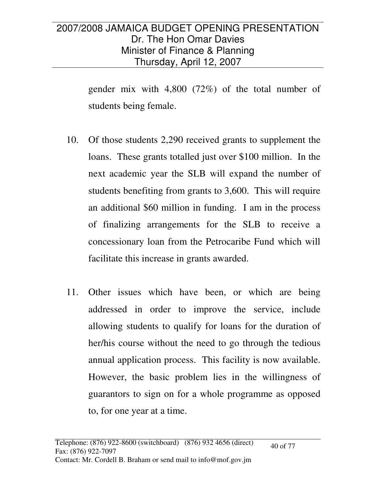gender mix with 4,800 (72%) of the total number of students being female.

- 10. Of those students 2,290 received grants to supplement the loans. These grants totalled just over \$100 million. In the next academic year the SLB will expand the number of students benefiting from grants to 3,600. This will require an additional \$60 million in funding. I am in the process of finalizing arrangements for the SLB to receive a concessionary loan from the Petrocaribe Fund which will facilitate this increase in grants awarded.
- 11. Other issues which have been, or which are being addressed in order to improve the service, include allowing students to qualify for loans for the duration of her/his course without the need to go through the tedious annual application process. This facility is now available. However, the basic problem lies in the willingness of guarantors to sign on for a whole programme as opposed to, for one year at a time.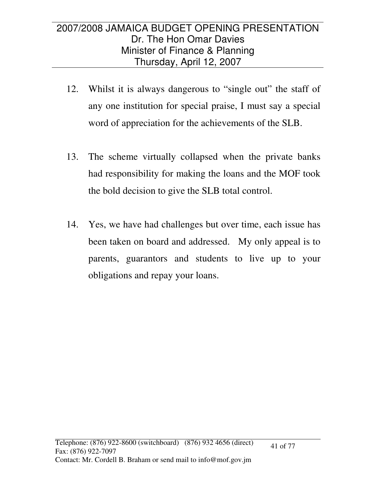- 12. Whilst it is always dangerous to "single out" the staff of any one institution for special praise, I must say a special word of appreciation for the achievements of the SLB.
- 13. The scheme virtually collapsed when the private banks had responsibility for making the loans and the MOF took the bold decision to give the SLB total control.
- 14. Yes, we have had challenges but over time, each issue has been taken on board and addressed. My only appeal is to parents, guarantors and students to live up to your obligations and repay your loans.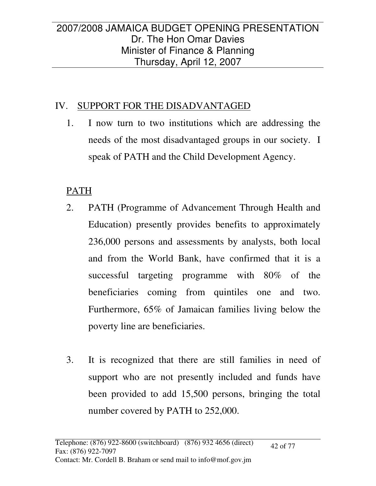## IV. SUPPORT FOR THE DISADVANTAGED

1. I now turn to two institutions which are addressing the needs of the most disadvantaged groups in our society. I speak of PATH and the Child Development Agency.

## PATH

- 2. PATH (Programme of Advancement Through Health and Education) presently provides benefits to approximately 236,000 persons and assessments by analysts, both local and from the World Bank, have confirmed that it is a successful targeting programme with 80% of the beneficiaries coming from quintiles one and two. Furthermore, 65% of Jamaican families living below the poverty line are beneficiaries.
- 3. It is recognized that there are still families in need of support who are not presently included and funds have been provided to add 15,500 persons, bringing the total number covered by PATH to 252,000.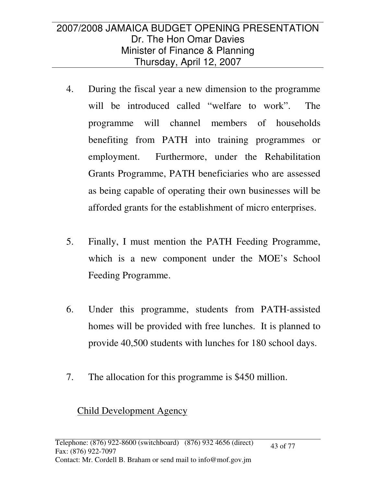- 4. During the fiscal year a new dimension to the programme will be introduced called "welfare to work". The programme will channel members of households benefiting from PATH into training programmes or employment. Furthermore, under the Rehabilitation Grants Programme, PATH beneficiaries who are assessed as being capable of operating their own businesses will be afforded grants for the establishment of micro enterprises.
- 5. Finally, I must mention the PATH Feeding Programme, which is a new component under the MOE's School Feeding Programme.
- 6. Under this programme, students from PATH-assisted homes will be provided with free lunches. It is planned to provide 40,500 students with lunches for 180 school days.
- 7. The allocation for this programme is \$450 million.

## Child Development Agency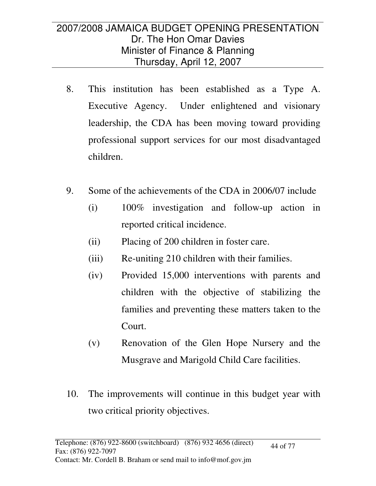- 8. This institution has been established as a Type A. Executive Agency. Under enlightened and visionary leadership, the CDA has been moving toward providing professional support services for our most disadvantaged children.
- 9. Some of the achievements of the CDA in 2006/07 include
	- (i) 100% investigation and follow-up action in reported critical incidence.
	- (ii) Placing of 200 children in foster care.
	- (iii) Re-uniting 210 children with their families.
	- (iv) Provided 15,000 interventions with parents and children with the objective of stabilizing the families and preventing these matters taken to the Court.
	- (v) Renovation of the Glen Hope Nursery and the Musgrave and Marigold Child Care facilities.
- 10. The improvements will continue in this budget year with two critical priority objectives.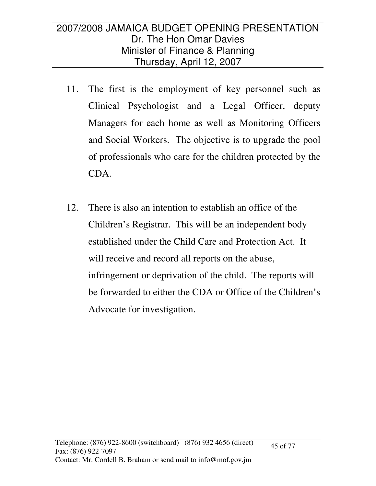- 11. The first is the employment of key personnel such as Clinical Psychologist and a Legal Officer, deputy Managers for each home as well as Monitoring Officers and Social Workers. The objective is to upgrade the pool of professionals who care for the children protected by the CDA.
- 12. There is also an intention to establish an office of the Children's Registrar. This will be an independent body established under the Child Care and Protection Act. It will receive and record all reports on the abuse, infringement or deprivation of the child. The reports will be forwarded to either the CDA or Office of the Children's Advocate for investigation.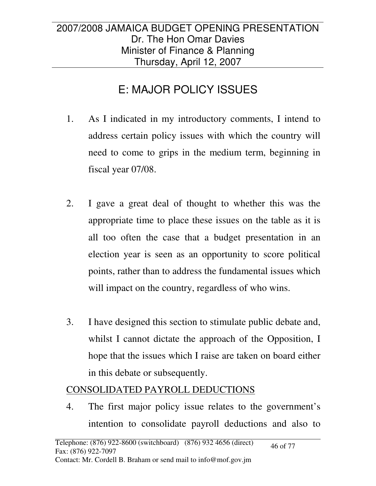## E: MAJOR POLICY ISSUES

- 1. As I indicated in my introductory comments, I intend to address certain policy issues with which the country will need to come to grips in the medium term, beginning in fiscal year 07/08.
- 2. I gave a great deal of thought to whether this was the appropriate time to place these issues on the table as it is all too often the case that a budget presentation in an election year is seen as an opportunity to score political points, rather than to address the fundamental issues which will impact on the country, regardless of who wins.
- 3. I have designed this section to stimulate public debate and, whilst I cannot dictate the approach of the Opposition, I hope that the issues which I raise are taken on board either in this debate or subsequently.

## CONSOLIDATED PAYROLL DEDUCTIONS

4. The first major policy issue relates to the government's intention to consolidate payroll deductions and also to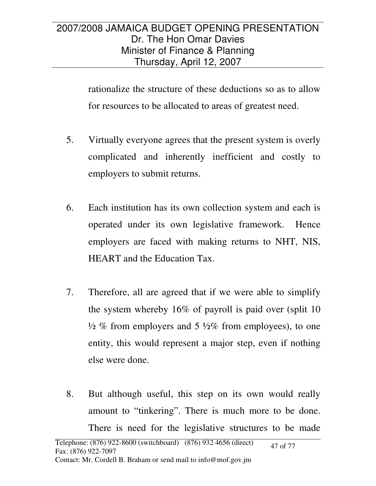rationalize the structure of these deductions so as to allow for resources to be allocated to areas of greatest need.

- 5. Virtually everyone agrees that the present system is overly complicated and inherently inefficient and costly to employers to submit returns.
- 6. Each institution has its own collection system and each is operated under its own legislative framework. Hence employers are faced with making returns to NHT, NIS, HEART and the Education Tax.
- 7. Therefore, all are agreed that if we were able to simplify the system whereby 16% of payroll is paid over (split 10  $\frac{1}{2}$  % from employers and 5  $\frac{1}{2}$ % from employees), to one entity, this would represent a major step, even if nothing else were done.
- 8. But although useful, this step on its own would really amount to "tinkering". There is much more to be done. There is need for the legislative structures to be made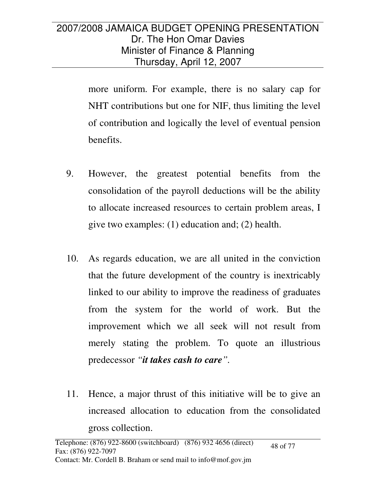more uniform. For example, there is no salary cap for NHT contributions but one for NIF, thus limiting the level of contribution and logically the level of eventual pension benefits.

- 9. However, the greatest potential benefits from the consolidation of the payroll deductions will be the ability to allocate increased resources to certain problem areas, I give two examples: (1) education and; (2) health.
- 10. As regards education, we are all united in the conviction that the future development of the country is inextricably linked to our ability to improve the readiness of graduates from the system for the world of work. But the improvement which we all seek will not result from merely stating the problem. To quote an illustrious predecessor *"it takes cash to care".*
- 11. Hence, a major thrust of this initiative will be to give an increased allocation to education from the consolidated gross collection.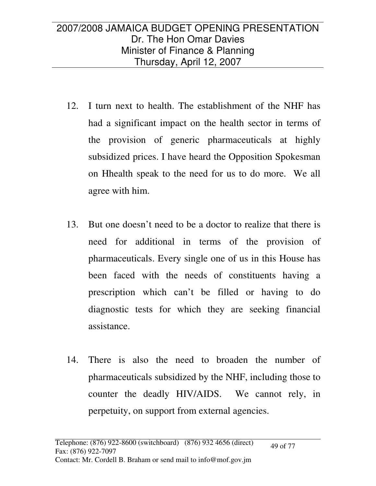- 12. I turn next to health. The establishment of the NHF has had a significant impact on the health sector in terms of the provision of generic pharmaceuticals at highly subsidized prices. I have heard the Opposition Spokesman on Hhealth speak to the need for us to do more. We all agree with him.
- 13. But one doesn't need to be a doctor to realize that there is need for additional in terms of the provision of pharmaceuticals. Every single one of us in this House has been faced with the needs of constituents having a prescription which can't be filled or having to do diagnostic tests for which they are seeking financial assistance.
- 14. There is also the need to broaden the number of pharmaceuticals subsidized by the NHF, including those to counter the deadly HIV/AIDS. We cannot rely, in perpetuity, on support from external agencies.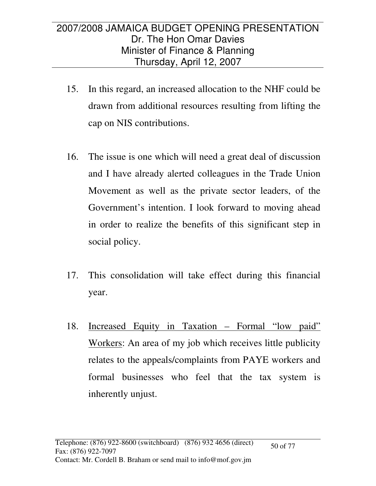- 15. In this regard, an increased allocation to the NHF could be drawn from additional resources resulting from lifting the cap on NIS contributions.
- 16. The issue is one which will need a great deal of discussion and I have already alerted colleagues in the Trade Union Movement as well as the private sector leaders, of the Government's intention. I look forward to moving ahead in order to realize the benefits of this significant step in social policy.
- 17. This consolidation will take effect during this financial year.
- 18. Increased Equity in Taxation Formal "low paid" Workers: An area of my job which receives little publicity relates to the appeals/complaints from PAYE workers and formal businesses who feel that the tax system is inherently unjust.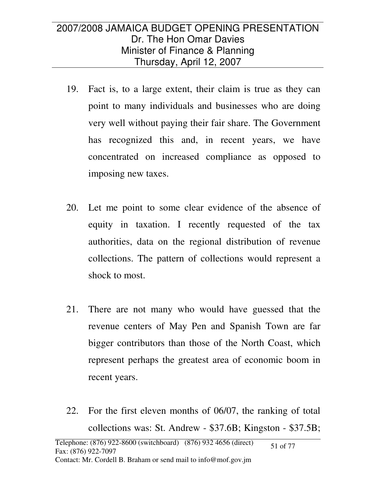- 19. Fact is, to a large extent, their claim is true as they can point to many individuals and businesses who are doing very well without paying their fair share. The Government has recognized this and, in recent years, we have concentrated on increased compliance as opposed to imposing new taxes.
- 20. Let me point to some clear evidence of the absence of equity in taxation. I recently requested of the tax authorities, data on the regional distribution of revenue collections. The pattern of collections would represent a shock to most.
- 21. There are not many who would have guessed that the revenue centers of May Pen and Spanish Town are far bigger contributors than those of the North Coast, which represent perhaps the greatest area of economic boom in recent years.
- 22. For the first eleven months of 06/07, the ranking of total collections was: St. Andrew - \$37.6B; Kingston - \$37.5B;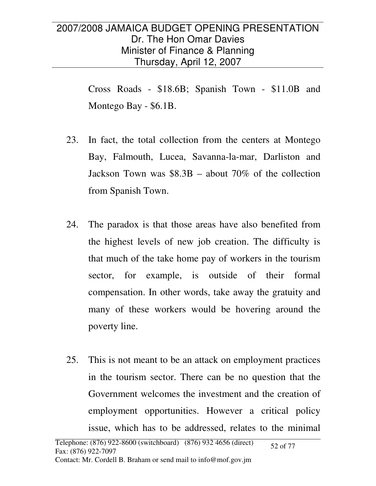Cross Roads - \$18.6B; Spanish Town - \$11.0B and Montego Bay - \$6.1B.

- 23. In fact, the total collection from the centers at Montego Bay, Falmouth, Lucea, Savanna-la-mar, Darliston and Jackson Town was \$8.3B – about 70% of the collection from Spanish Town.
- 24. The paradox is that those areas have also benefited from the highest levels of new job creation. The difficulty is that much of the take home pay of workers in the tourism sector, for example, is outside of their formal compensation. In other words, take away the gratuity and many of these workers would be hovering around the poverty line.
- 25. This is not meant to be an attack on employment practices in the tourism sector. There can be no question that the Government welcomes the investment and the creation of employment opportunities. However a critical policy issue, which has to be addressed, relates to the minimal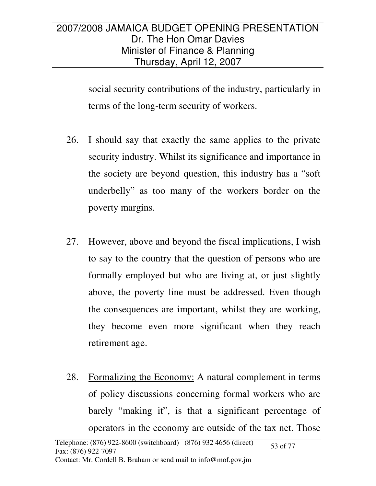social security contributions of the industry, particularly in terms of the long-term security of workers.

- 26. I should say that exactly the same applies to the private security industry. Whilst its significance and importance in the society are beyond question, this industry has a "soft underbelly" as too many of the workers border on the poverty margins.
- 27. However, above and beyond the fiscal implications, I wish to say to the country that the question of persons who are formally employed but who are living at, or just slightly above, the poverty line must be addressed. Even though the consequences are important, whilst they are working, they become even more significant when they reach retirement age.
- 28. Formalizing the Economy: A natural complement in terms of policy discussions concerning formal workers who are barely "making it", is that a significant percentage of operators in the economy are outside of the tax net. Those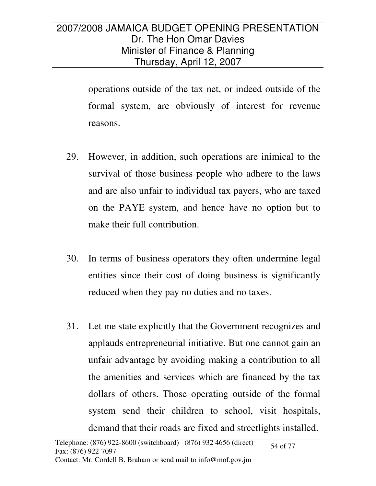operations outside of the tax net, or indeed outside of the formal system, are obviously of interest for revenue reasons.

- 29. However, in addition, such operations are inimical to the survival of those business people who adhere to the laws and are also unfair to individual tax payers, who are taxed on the PAYE system, and hence have no option but to make their full contribution.
- 30. In terms of business operators they often undermine legal entities since their cost of doing business is significantly reduced when they pay no duties and no taxes.
- 31. Let me state explicitly that the Government recognizes and applauds entrepreneurial initiative. But one cannot gain an unfair advantage by avoiding making a contribution to all the amenities and services which are financed by the tax dollars of others. Those operating outside of the formal system send their children to school, visit hospitals, demand that their roads are fixed and streetlights installed.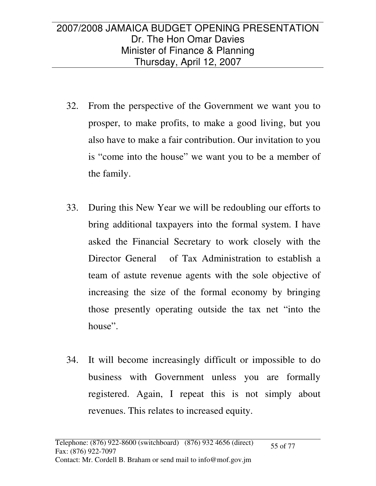- 32. From the perspective of the Government we want you to prosper, to make profits, to make a good living, but you also have to make a fair contribution. Our invitation to you is "come into the house" we want you to be a member of the family.
- 33. During this New Year we will be redoubling our efforts to bring additional taxpayers into the formal system. I have asked the Financial Secretary to work closely with the Director General of Tax Administration to establish a team of astute revenue agents with the sole objective of increasing the size of the formal economy by bringing those presently operating outside the tax net "into the house".
- 34. It will become increasingly difficult or impossible to do business with Government unless you are formally registered. Again, I repeat this is not simply about revenues. This relates to increased equity.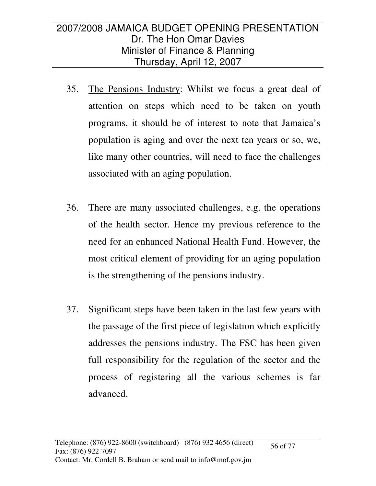- 35. The Pensions Industry: Whilst we focus a great deal of attention on steps which need to be taken on youth programs, it should be of interest to note that Jamaica's population is aging and over the next ten years or so, we, like many other countries, will need to face the challenges associated with an aging population.
- 36. There are many associated challenges, e.g. the operations of the health sector. Hence my previous reference to the need for an enhanced National Health Fund. However, the most critical element of providing for an aging population is the strengthening of the pensions industry.
- 37. Significant steps have been taken in the last few years with the passage of the first piece of legislation which explicitly addresses the pensions industry. The FSC has been given full responsibility for the regulation of the sector and the process of registering all the various schemes is far advanced.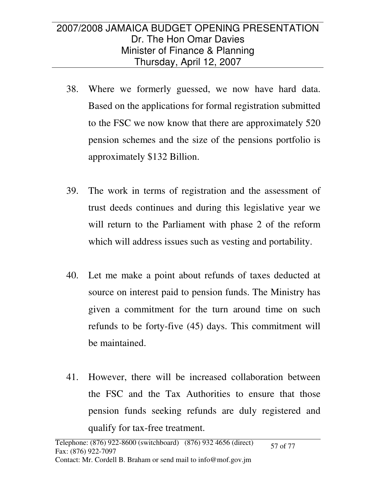- 38. Where we formerly guessed, we now have hard data. Based on the applications for formal registration submitted to the FSC we now know that there are approximately 520 pension schemes and the size of the pensions portfolio is approximately \$132 Billion.
- 39. The work in terms of registration and the assessment of trust deeds continues and during this legislative year we will return to the Parliament with phase 2 of the reform which will address issues such as vesting and portability.
- 40. Let me make a point about refunds of taxes deducted at source on interest paid to pension funds. The Ministry has given a commitment for the turn around time on such refunds to be forty-five (45) days. This commitment will be maintained.
- 41. However, there will be increased collaboration between the FSC and the Tax Authorities to ensure that those pension funds seeking refunds are duly registered and qualify for tax-free treatment.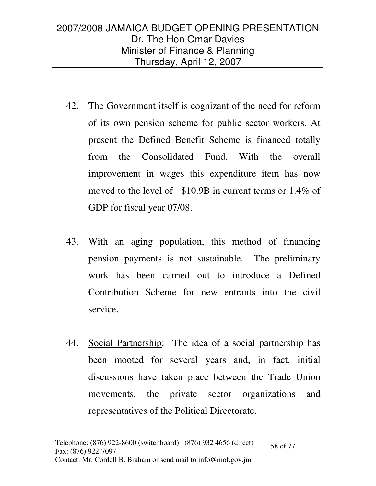- 42. The Government itself is cognizant of the need for reform of its own pension scheme for public sector workers. At present the Defined Benefit Scheme is financed totally from the Consolidated Fund. With the overall improvement in wages this expenditure item has now moved to the level of \$10.9B in current terms or 1.4% of GDP for fiscal year 07/08.
- 43. With an aging population, this method of financing pension payments is not sustainable. The preliminary work has been carried out to introduce a Defined Contribution Scheme for new entrants into the civil service.
- 44. Social Partnership: The idea of a social partnership has been mooted for several years and, in fact, initial discussions have taken place between the Trade Union movements, the private sector organizations and representatives of the Political Directorate.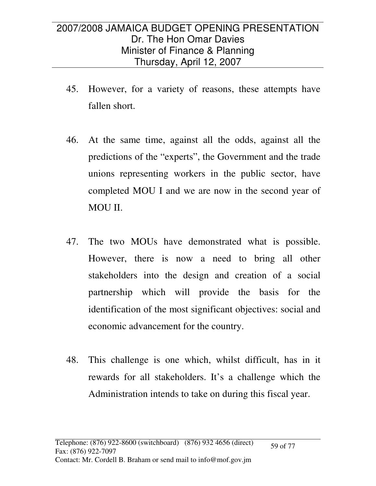- 45. However, for a variety of reasons, these attempts have fallen short.
- 46. At the same time, against all the odds, against all the predictions of the "experts", the Government and the trade unions representing workers in the public sector, have completed MOU I and we are now in the second year of MOU II.
- 47. The two MOUs have demonstrated what is possible. However, there is now a need to bring all other stakeholders into the design and creation of a social partnership which will provide the basis for the identification of the most significant objectives: social and economic advancement for the country.
- 48. This challenge is one which, whilst difficult, has in it rewards for all stakeholders. It's a challenge which the Administration intends to take on during this fiscal year.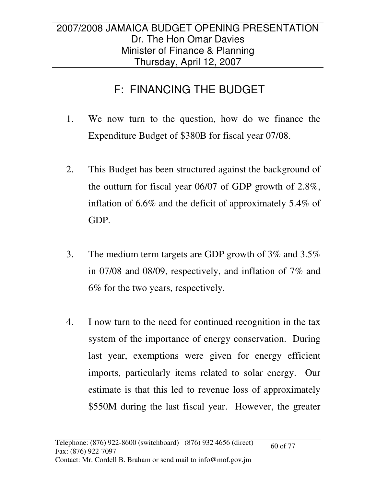## F: FINANCING THE BUDGET

- 1. We now turn to the question, how do we finance the Expenditure Budget of \$380B for fiscal year 07/08.
- 2. This Budget has been structured against the background of the outturn for fiscal year 06/07 of GDP growth of 2.8%, inflation of 6.6% and the deficit of approximately 5.4% of GDP.
- 3. The medium term targets are GDP growth of 3% and 3.5% in 07/08 and 08/09, respectively, and inflation of 7% and 6% for the two years, respectively.
- 4. I now turn to the need for continued recognition in the tax system of the importance of energy conservation. During last year, exemptions were given for energy efficient imports, particularly items related to solar energy. Our estimate is that this led to revenue loss of approximately \$550M during the last fiscal year. However, the greater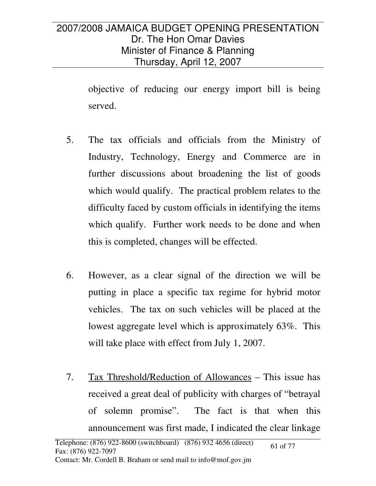objective of reducing our energy import bill is being served.

- 5. The tax officials and officials from the Ministry of Industry, Technology, Energy and Commerce are in further discussions about broadening the list of goods which would qualify. The practical problem relates to the difficulty faced by custom officials in identifying the items which qualify. Further work needs to be done and when this is completed, changes will be effected.
- 6. However, as a clear signal of the direction we will be putting in place a specific tax regime for hybrid motor vehicles. The tax on such vehicles will be placed at the lowest aggregate level which is approximately 63%. This will take place with effect from July 1, 2007.
- 7. Tax Threshold/Reduction of Allowances This issue has received a great deal of publicity with charges of "betrayal of solemn promise". The fact is that when this announcement was first made, I indicated the clear linkage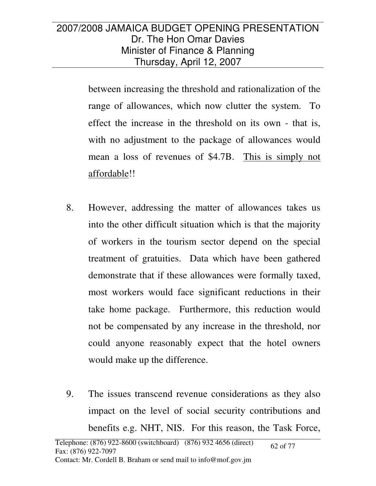between increasing the threshold and rationalization of the range of allowances, which now clutter the system. To effect the increase in the threshold on its own - that is, with no adjustment to the package of allowances would mean a loss of revenues of \$4.7B. This is simply not affordable!!

- 8. However, addressing the matter of allowances takes us into the other difficult situation which is that the majority of workers in the tourism sector depend on the special treatment of gratuities. Data which have been gathered demonstrate that if these allowances were formally taxed, most workers would face significant reductions in their take home package. Furthermore, this reduction would not be compensated by any increase in the threshold, nor could anyone reasonably expect that the hotel owners would make up the difference.
- 9. The issues transcend revenue considerations as they also impact on the level of social security contributions and benefits e.g. NHT, NIS. For this reason, the Task Force,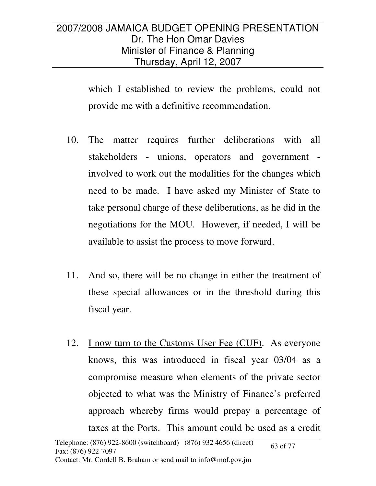which I established to review the problems, could not provide me with a definitive recommendation.

- 10. The matter requires further deliberations with all stakeholders - unions, operators and government involved to work out the modalities for the changes which need to be made. I have asked my Minister of State to take personal charge of these deliberations, as he did in the negotiations for the MOU. However, if needed, I will be available to assist the process to move forward.
- 11. And so, there will be no change in either the treatment of these special allowances or in the threshold during this fiscal year.
- 12. I now turn to the Customs User Fee (CUF). As everyone knows, this was introduced in fiscal year 03/04 as a compromise measure when elements of the private sector objected to what was the Ministry of Finance's preferred approach whereby firms would prepay a percentage of taxes at the Ports. This amount could be used as a credit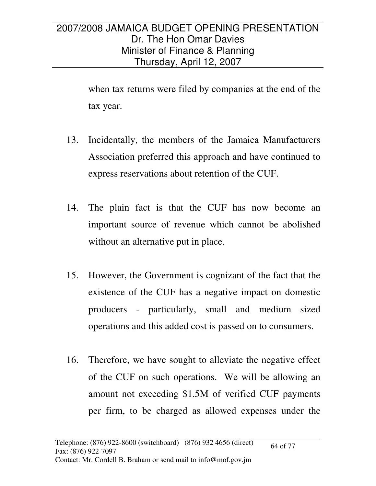when tax returns were filed by companies at the end of the tax year.

- 13. Incidentally, the members of the Jamaica Manufacturers Association preferred this approach and have continued to express reservations about retention of the CUF.
- 14. The plain fact is that the CUF has now become an important source of revenue which cannot be abolished without an alternative put in place.
- 15. However, the Government is cognizant of the fact that the existence of the CUF has a negative impact on domestic producers - particularly, small and medium sized operations and this added cost is passed on to consumers.
- 16. Therefore, we have sought to alleviate the negative effect of the CUF on such operations. We will be allowing an amount not exceeding \$1.5M of verified CUF payments per firm, to be charged as allowed expenses under the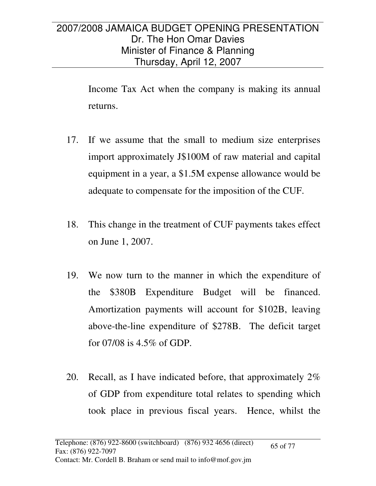Income Tax Act when the company is making its annual returns.

- 17. If we assume that the small to medium size enterprises import approximately J\$100M of raw material and capital equipment in a year, a \$1.5M expense allowance would be adequate to compensate for the imposition of the CUF.
- 18. This change in the treatment of CUF payments takes effect on June 1, 2007.
- 19. We now turn to the manner in which the expenditure of the \$380B Expenditure Budget will be financed. Amortization payments will account for \$102B, leaving above-the-line expenditure of \$278B. The deficit target for 07/08 is 4.5% of GDP.
- 20. Recall, as I have indicated before, that approximately 2% of GDP from expenditure total relates to spending which took place in previous fiscal years. Hence, whilst the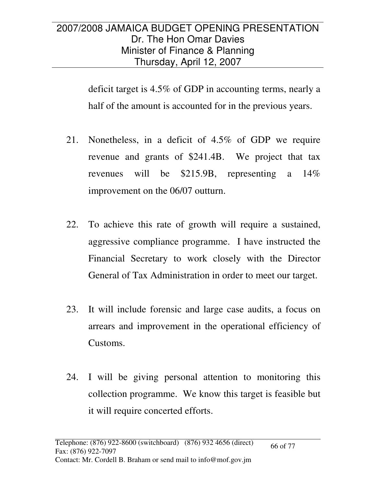deficit target is 4.5% of GDP in accounting terms, nearly a half of the amount is accounted for in the previous years.

- 21. Nonetheless, in a deficit of 4.5% of GDP we require revenue and grants of \$241.4B. We project that tax revenues will be \$215.9B, representing a 14% improvement on the 06/07 outturn.
- 22. To achieve this rate of growth will require a sustained, aggressive compliance programme. I have instructed the Financial Secretary to work closely with the Director General of Tax Administration in order to meet our target.
- 23. It will include forensic and large case audits, a focus on arrears and improvement in the operational efficiency of Customs.
- 24. I will be giving personal attention to monitoring this collection programme. We know this target is feasible but it will require concerted efforts.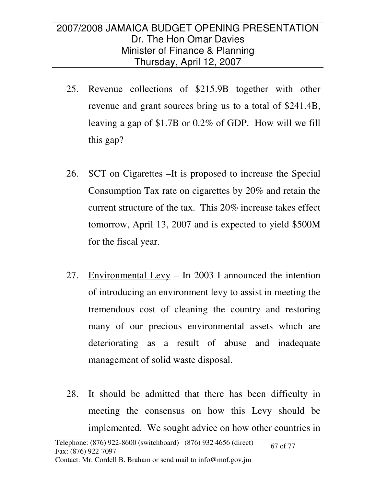- 25. Revenue collections of \$215.9B together with other revenue and grant sources bring us to a total of \$241.4B, leaving a gap of \$1.7B or 0.2% of GDP. How will we fill this gap?
- 26. SCT on Cigarettes –It is proposed to increase the Special Consumption Tax rate on cigarettes by 20% and retain the current structure of the tax. This 20% increase takes effect tomorrow, April 13, 2007 and is expected to yield \$500M for the fiscal year.
- 27. Environmental Levy In 2003 I announced the intention of introducing an environment levy to assist in meeting the tremendous cost of cleaning the country and restoring many of our precious environmental assets which are deteriorating as a result of abuse and inadequate management of solid waste disposal.
- 28. It should be admitted that there has been difficulty in meeting the consensus on how this Levy should be implemented. We sought advice on how other countries in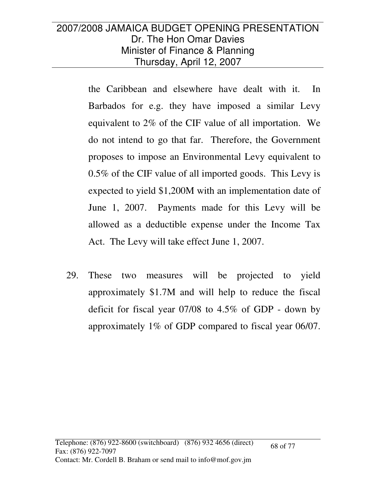the Caribbean and elsewhere have dealt with it. In Barbados for e.g. they have imposed a similar Levy equivalent to 2% of the CIF value of all importation. We do not intend to go that far. Therefore, the Government proposes to impose an Environmental Levy equivalent to 0.5% of the CIF value of all imported goods. This Levy is expected to yield \$1,200M with an implementation date of June 1, 2007. Payments made for this Levy will be allowed as a deductible expense under the Income Tax Act. The Levy will take effect June 1, 2007.

29. These two measures will be projected to yield approximately \$1.7M and will help to reduce the fiscal deficit for fiscal year 07/08 to 4.5% of GDP - down by approximately 1% of GDP compared to fiscal year 06/07.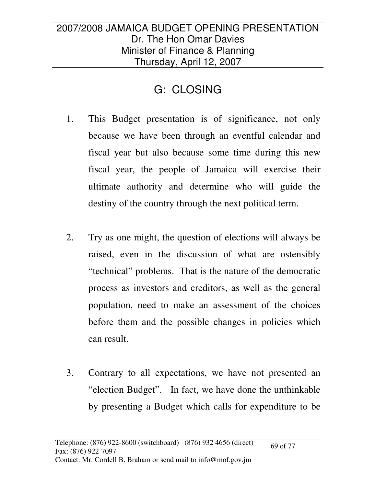# G: CLOSING

- 1. This Budget presentation is of significance, not only because we have been through an eventful calendar and fiscal year but also because some time during this new fiscal year, the people of Jamaica will exercise their ultimate authority and determine who will guide the destiny of the country through the next political term.
- 2. Try as one might, the question of elections will always be raised, even in the discussion of what are ostensibly "technical" problems. That is the nature of the democratic process as investors and creditors, as well as the general population, need to make an assessment of the choices before them and the possible changes in policies which can result.
- 3. Contrary to all expectations, we have not presented an "election Budget". In fact, we have done the unthinkable by presenting a Budget which calls for expenditure to be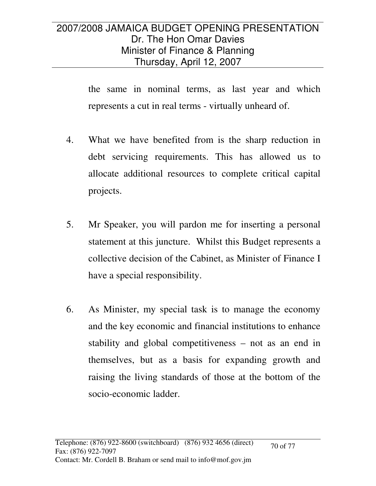the same in nominal terms, as last year and which represents a cut in real terms - virtually unheard of.

- 4. What we have benefited from is the sharp reduction in debt servicing requirements. This has allowed us to allocate additional resources to complete critical capital projects.
- 5. Mr Speaker, you will pardon me for inserting a personal statement at this juncture. Whilst this Budget represents a collective decision of the Cabinet, as Minister of Finance I have a special responsibility.
- 6. As Minister, my special task is to manage the economy and the key economic and financial institutions to enhance stability and global competitiveness – not as an end in themselves, but as a basis for expanding growth and raising the living standards of those at the bottom of the socio-economic ladder.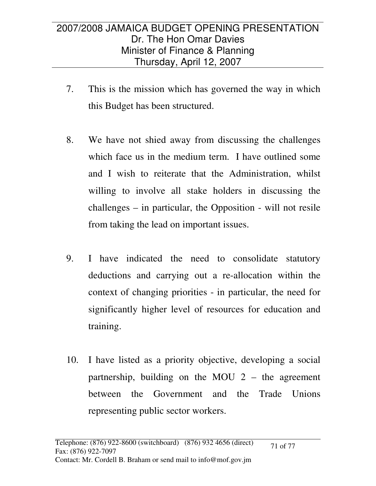- 7. This is the mission which has governed the way in which this Budget has been structured.
- 8. We have not shied away from discussing the challenges which face us in the medium term. I have outlined some and I wish to reiterate that the Administration, whilst willing to involve all stake holders in discussing the challenges – in particular, the Opposition - will not resile from taking the lead on important issues.
- 9. I have indicated the need to consolidate statutory deductions and carrying out a re-allocation within the context of changing priorities - in particular, the need for significantly higher level of resources for education and training.
- 10. I have listed as a priority objective, developing a social partnership, building on the MOU  $2$  – the agreement between the Government and the Trade Unions representing public sector workers.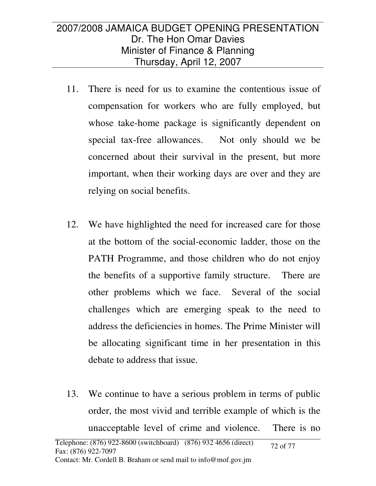- 11. There is need for us to examine the contentious issue of compensation for workers who are fully employed, but whose take-home package is significantly dependent on special tax-free allowances. Not only should we be concerned about their survival in the present, but more important, when their working days are over and they are relying on social benefits.
- 12. We have highlighted the need for increased care for those at the bottom of the social-economic ladder, those on the PATH Programme, and those children who do not enjoy the benefits of a supportive family structure. There are other problems which we face. Several of the social challenges which are emerging speak to the need to address the deficiencies in homes. The Prime Minister will be allocating significant time in her presentation in this debate to address that issue.
- 13. We continue to have a serious problem in terms of public order, the most vivid and terrible example of which is the unacceptable level of crime and violence. There is no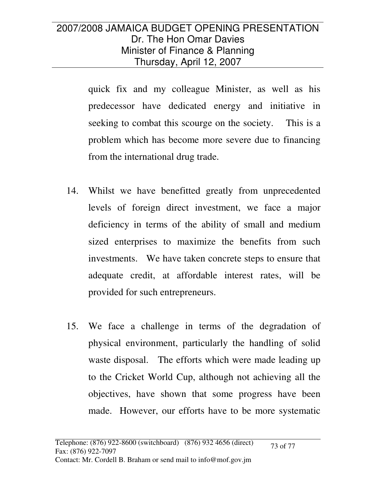quick fix and my colleague Minister, as well as his predecessor have dedicated energy and initiative in seeking to combat this scourge on the society. This is a problem which has become more severe due to financing from the international drug trade.

- 14. Whilst we have benefitted greatly from unprecedented levels of foreign direct investment, we face a major deficiency in terms of the ability of small and medium sized enterprises to maximize the benefits from such investments. We have taken concrete steps to ensure that adequate credit, at affordable interest rates, will be provided for such entrepreneurs.
- 15. We face a challenge in terms of the degradation of physical environment, particularly the handling of solid waste disposal. The efforts which were made leading up to the Cricket World Cup, although not achieving all the objectives, have shown that some progress have been made. However, our efforts have to be more systematic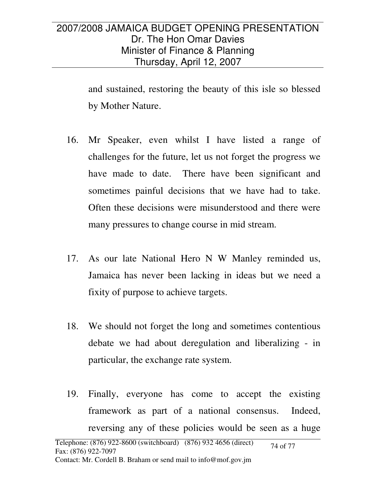and sustained, restoring the beauty of this isle so blessed by Mother Nature.

- 16. Mr Speaker, even whilst I have listed a range of challenges for the future, let us not forget the progress we have made to date. There have been significant and sometimes painful decisions that we have had to take. Often these decisions were misunderstood and there were many pressures to change course in mid stream.
- 17. As our late National Hero N W Manley reminded us, Jamaica has never been lacking in ideas but we need a fixity of purpose to achieve targets.
- 18. We should not forget the long and sometimes contentious debate we had about deregulation and liberalizing - in particular, the exchange rate system.
- 19. Finally, everyone has come to accept the existing framework as part of a national consensus. Indeed, reversing any of these policies would be seen as a huge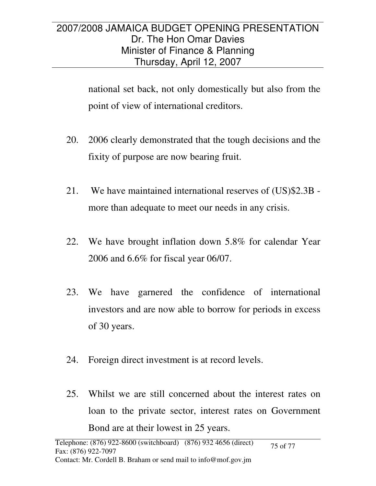national set back, not only domestically but also from the point of view of international creditors.

- 20. 2006 clearly demonstrated that the tough decisions and the fixity of purpose are now bearing fruit.
- 21. We have maintained international reserves of (US)\$2.3B more than adequate to meet our needs in any crisis.
- 22. We have brought inflation down 5.8% for calendar Year 2006 and 6.6% for fiscal year 06/07.
- 23. We have garnered the confidence of international investors and are now able to borrow for periods in excess of 30 years.
- 24. Foreign direct investment is at record levels.
- 25. Whilst we are still concerned about the interest rates on loan to the private sector, interest rates on Government Bond are at their lowest in 25 years.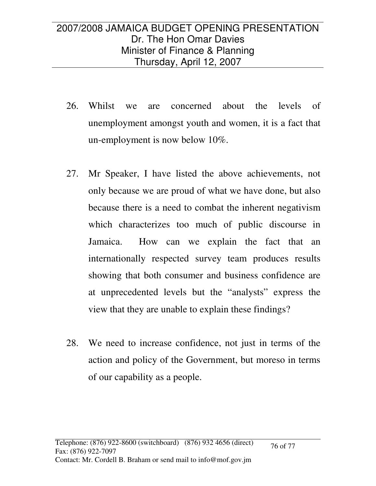- 26. Whilst we are concerned about the levels of unemployment amongst youth and women, it is a fact that un-employment is now below 10%.
- 27. Mr Speaker, I have listed the above achievements, not only because we are proud of what we have done, but also because there is a need to combat the inherent negativism which characterizes too much of public discourse in Jamaica. How can we explain the fact that an internationally respected survey team produces results showing that both consumer and business confidence are at unprecedented levels but the "analysts" express the view that they are unable to explain these findings?
- 28. We need to increase confidence, not just in terms of the action and policy of the Government, but moreso in terms of our capability as a people.